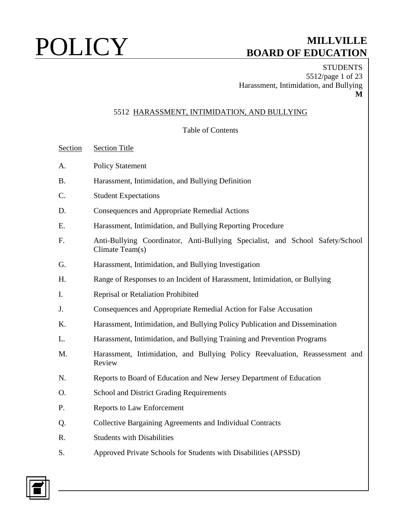**STUDENTS** 5512/page 1 of 23 Harassment, Intimidation, and Bullying **M**

### 5512 HARASSMENT, INTIMIDATION, AND BULLYING

### Table of Contents

Section Section Title

- A. Policy Statement
- B. Harassment, Intimidation, and Bullying Definition
- C. Student Expectations
- D. Consequences and Appropriate Remedial Actions
- E. Harassment, Intimidation, and Bullying Reporting Procedure
- F. Anti-Bullying Coordinator, Anti-Bullying Specialist, and School Safety/School Climate Team(s)
- G. Harassment, Intimidation, and Bullying Investigation
- H. Range of Responses to an Incident of Harassment, Intimidation, or Bullying
- I. Reprisal or Retaliation Prohibited
- J. Consequences and Appropriate Remedial Action for False Accusation
- K. Harassment, Intimidation, and Bullying Policy Publication and Dissemination
- L. Harassment, Intimidation, and Bullying Training and Prevention Programs
- M. Harassment, Intimidation, and Bullying Policy Reevaluation, Reassessment and Review
- N. Reports to Board of Education and New Jersey Department of Education
- O. School and District Grading Requirements
- P. Reports to Law Enforcement
- Q. Collective Bargaining Agreements and Individual Contracts
- R. Students with Disabilities
- S. Approved Private Schools for Students with Disabilities (APSSD)

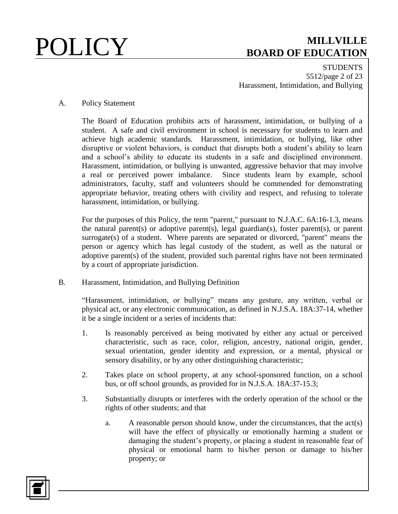**STUDENTS** 5512/page 2 of 23 Harassment, Intimidation, and Bullying

### A. Policy Statement

The Board of Education prohibits acts of harassment, intimidation, or bullying of a student. A safe and civil environment in school is necessary for students to learn and achieve high academic standards. Harassment, intimidation, or bullying, like other disruptive or violent behaviors, is conduct that disrupts both a student's ability to learn and a school's ability to educate its students in a safe and disciplined environment. Harassment, intimidation, or bullying is unwanted, aggressive behavior that may involve a real or perceived power imbalance. Since students learn by example, school administrators, faculty, staff and volunteers should be commended for demonstrating appropriate behavior, treating others with civility and respect, and refusing to tolerate harassment, intimidation, or bullying.

For the purposes of this Policy, the term "parent," pursuant to N.J.A.C. 6A:16-1.3, means the natural parent(s) or adoptive parent(s), legal guardian(s), foster parent(s), or parent surrogate(s) of a student. Where parents are separated or divorced, "parent" means the person or agency which has legal custody of the student, as well as the natural or adoptive parent(s) of the student, provided such parental rights have not been terminated by a court of appropriate jurisdiction.

B. Harassment, Intimidation, and Bullying Definition

"Harassment, intimidation, or bullying" means any gesture, any written, verbal or physical act, or any electronic communication, as defined in N.J.S.A. 18A:37-14, whether it be a single incident or a series of incidents that:

- 1. Is reasonably perceived as being motivated by either any actual or perceived characteristic, such as race, color, religion, ancestry, national origin, gender, sexual orientation, gender identity and expression, or a mental, physical or sensory disability, or by any other distinguishing characteristic;
- 2. Takes place on school property, at any school-sponsored function, on a school bus, or off school grounds, as provided for in N.J.S.A. 18A:37-15.3;
- 3. Substantially disrupts or interferes with the orderly operation of the school or the rights of other students; and that
	- a. A reasonable person should know, under the circumstances, that the act(s) will have the effect of physically or emotionally harming a student or damaging the student's property, or placing a student in reasonable fear of physical or emotional harm to his/her person or damage to his/her property; or

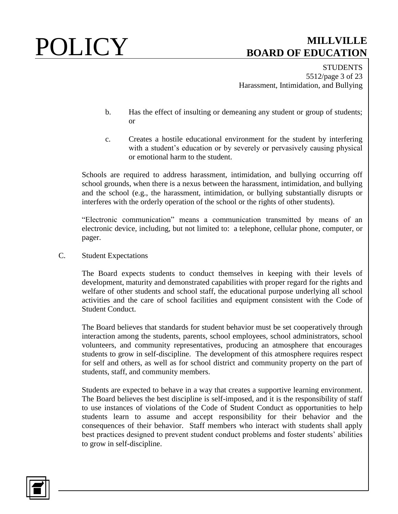**STUDENTS** 5512/page 3 of 23 Harassment, Intimidation, and Bullying

- b. Has the effect of insulting or demeaning any student or group of students; or
- c. Creates a hostile educational environment for the student by interfering with a student's education or by severely or pervasively causing physical or emotional harm to the student.

Schools are required to address harassment, intimidation, and bullying occurring off school grounds, when there is a nexus between the harassment, intimidation, and bullying and the school (e.g., the harassment, intimidation, or bullying substantially disrupts or interferes with the orderly operation of the school or the rights of other students).

"Electronic communication" means a communication transmitted by means of an electronic device, including, but not limited to: a telephone, cellular phone, computer, or pager.

C. Student Expectations

The Board expects students to conduct themselves in keeping with their levels of development, maturity and demonstrated capabilities with proper regard for the rights and welfare of other students and school staff, the educational purpose underlying all school activities and the care of school facilities and equipment consistent with the Code of Student Conduct.

The Board believes that standards for student behavior must be set cooperatively through interaction among the students, parents, school employees, school administrators, school volunteers, and community representatives, producing an atmosphere that encourages students to grow in self-discipline. The development of this atmosphere requires respect for self and others, as well as for school district and community property on the part of students, staff, and community members.

Students are expected to behave in a way that creates a supportive learning environment. The Board believes the best discipline is self-imposed, and it is the responsibility of staff to use instances of violations of the Code of Student Conduct as opportunities to help students learn to assume and accept responsibility for their behavior and the consequences of their behavior. Staff members who interact with students shall apply best practices designed to prevent student conduct problems and foster students' abilities to grow in self-discipline.

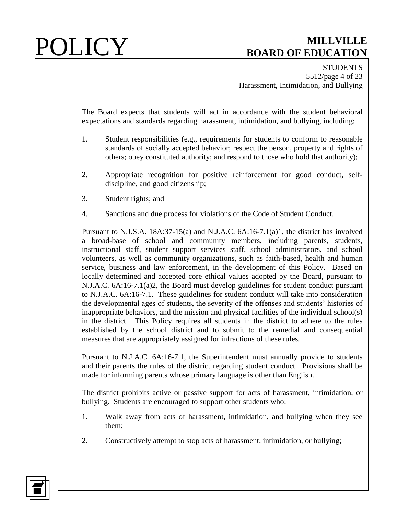**STUDENTS** 5512/page 4 of 23 Harassment, Intimidation, and Bullying

The Board expects that students will act in accordance with the student behavioral expectations and standards regarding harassment, intimidation, and bullying, including:

- 1. Student responsibilities (e.g., requirements for students to conform to reasonable standards of socially accepted behavior; respect the person, property and rights of others; obey constituted authority; and respond to those who hold that authority);
- 2. Appropriate recognition for positive reinforcement for good conduct, selfdiscipline, and good citizenship;
- 3. Student rights; and
- 4. Sanctions and due process for violations of the Code of Student Conduct.

Pursuant to N.J.S.A. 18A:37-15(a) and N.J.A.C. 6A:16-7.1(a)1, the district has involved a broad-base of school and community members, including parents, students, instructional staff, student support services staff, school administrators, and school volunteers, as well as community organizations, such as faith-based, health and human service, business and law enforcement, in the development of this Policy. Based on locally determined and accepted core ethical values adopted by the Board, pursuant to N.J.A.C. 6A:16-7.1(a)2, the Board must develop guidelines for student conduct pursuant to N.J.A.C. 6A:16-7.1. These guidelines for student conduct will take into consideration the developmental ages of students, the severity of the offenses and students' histories of inappropriate behaviors, and the mission and physical facilities of the individual school(s) in the district. This Policy requires all students in the district to adhere to the rules established by the school district and to submit to the remedial and consequential measures that are appropriately assigned for infractions of these rules.

Pursuant to N.J.A.C. 6A:16-7.1, the Superintendent must annually provide to students and their parents the rules of the district regarding student conduct. Provisions shall be made for informing parents whose primary language is other than English.

The district prohibits active or passive support for acts of harassment, intimidation, or bullying. Students are encouraged to support other students who:

- 1. Walk away from acts of harassment, intimidation, and bullying when they see them;
- 2. Constructively attempt to stop acts of harassment, intimidation, or bullying;

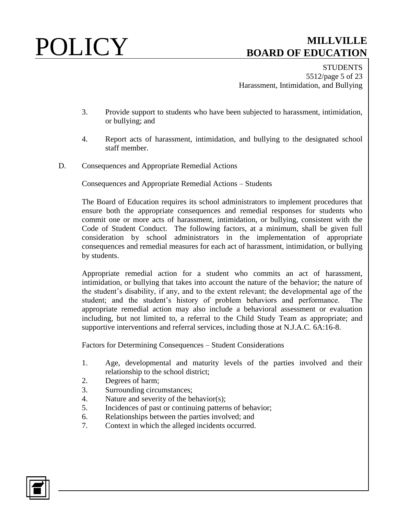**STUDENTS** 5512/page 5 of 23 Harassment, Intimidation, and Bullying

- 3. Provide support to students who have been subjected to harassment, intimidation, or bullying; and
- 4. Report acts of harassment, intimidation, and bullying to the designated school staff member.
- D. Consequences and Appropriate Remedial Actions

Consequences and Appropriate Remedial Actions – Students

The Board of Education requires its school administrators to implement procedures that ensure both the appropriate consequences and remedial responses for students who commit one or more acts of harassment, intimidation, or bullying, consistent with the Code of Student Conduct. The following factors, at a minimum, shall be given full consideration by school administrators in the implementation of appropriate consequences and remedial measures for each act of harassment, intimidation, or bullying by students.

Appropriate remedial action for a student who commits an act of harassment, intimidation, or bullying that takes into account the nature of the behavior; the nature of the student's disability, if any, and to the extent relevant; the developmental age of the student; and the student's history of problem behaviors and performance. The appropriate remedial action may also include a behavioral assessment or evaluation including, but not limited to, a referral to the Child Study Team as appropriate; and supportive interventions and referral services, including those at N.J.A.C. 6A:16-8.

Factors for Determining Consequences – Student Considerations

- 1. Age, developmental and maturity levels of the parties involved and their relationship to the school district;
- 2. Degrees of harm;
- 3. Surrounding circumstances;
- 4. Nature and severity of the behavior(s);
- 5. Incidences of past or continuing patterns of behavior;
- 6. Relationships between the parties involved; and
- 7. Context in which the alleged incidents occurred.

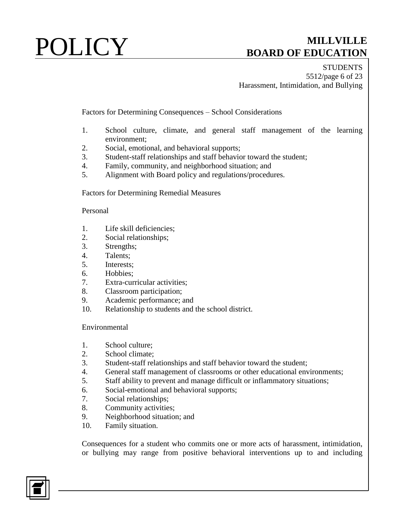**STUDENTS** 5512/page 6 of 23 Harassment, Intimidation, and Bullying

Factors for Determining Consequences – School Considerations

- 1. School culture, climate, and general staff management of the learning environment;
- 2. Social, emotional, and behavioral supports;
- 3. Student-staff relationships and staff behavior toward the student;
- 4. Family, community, and neighborhood situation; and
- 5. Alignment with Board policy and regulations/procedures.

Factors for Determining Remedial Measures

### Personal

- 1. Life skill deficiencies;
- 2. Social relationships;
- 3. Strengths;
- 4. Talents;
- 5. Interests;
- 6. Hobbies;
- 7. Extra-curricular activities;
- 8. Classroom participation;
- 9. Academic performance; and
- 10. Relationship to students and the school district.

### Environmental

- 1. School culture;
- 2. School climate;
- 3. Student-staff relationships and staff behavior toward the student;
- 4. General staff management of classrooms or other educational environments;
- 5. Staff ability to prevent and manage difficult or inflammatory situations;
- 6. Social-emotional and behavioral supports;
- 7. Social relationships;
- 8. Community activities;
- 9. Neighborhood situation; and
- 10. Family situation.

Consequences for a student who commits one or more acts of harassment, intimidation, or bullying may range from positive behavioral interventions up to and including

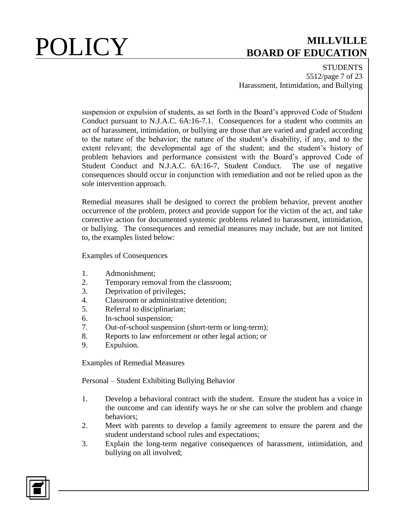**STUDENTS** 5512/page 7 of 23 Harassment, Intimidation, and Bullying

suspension or expulsion of students, as set forth in the Board's approved Code of Student Conduct pursuant to N.J.A.C. 6A:16-7.1. Consequences for a student who commits an act of harassment, intimidation, or bullying are those that are varied and graded according to the nature of the behavior; the nature of the student's disability, if any, and to the extent relevant; the developmental age of the student; and the student's history of problem behaviors and performance consistent with the Board's approved Code of Student Conduct and N.J.A.C. 6A:16-7, Student Conduct. The use of negative consequences should occur in conjunction with remediation and not be relied upon as the sole intervention approach.

Remedial measures shall be designed to correct the problem behavior, prevent another occurrence of the problem, protect and provide support for the victim of the act, and take corrective action for documented systemic problems related to harassment, intimidation, or bullying. The consequences and remedial measures may include, but are not limited to, the examples listed below:

Examples of Consequences

- 1. Admonishment;
- 2. Temporary removal from the classroom;
- 3. Deprivation of privileges;
- 4. Classroom or administrative detention;
- 5. Referral to disciplinarian;
- 6. In-school suspension;
- 7. Out-of-school suspension (short-term or long-term);
- 8. Reports to law enforcement or other legal action; or
- 9. Expulsion.

Examples of Remedial Measures

Personal – Student Exhibiting Bullying Behavior

- 1. Develop a behavioral contract with the student. Ensure the student has a voice in the outcome and can identify ways he or she can solve the problem and change behaviors;
- 2. Meet with parents to develop a family agreement to ensure the parent and the student understand school rules and expectations;
- 3. Explain the long-term negative consequences of harassment, intimidation, and bullying on all involved;

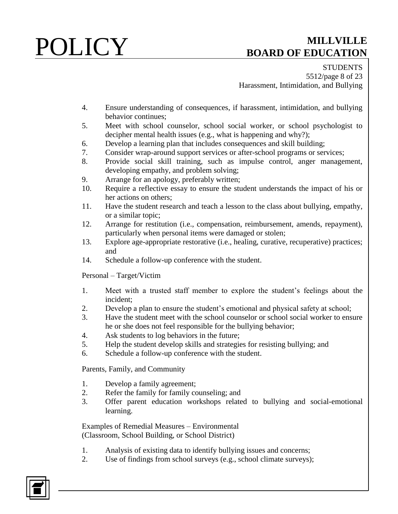**STUDENTS** 5512/page 8 of 23 Harassment, Intimidation, and Bullying

- 4. Ensure understanding of consequences, if harassment, intimidation, and bullying behavior continues;
- 5. Meet with school counselor, school social worker, or school psychologist to decipher mental health issues (e.g., what is happening and why?);
- 6. Develop a learning plan that includes consequences and skill building;
- 7. Consider wrap-around support services or after-school programs or services;
- 8. Provide social skill training, such as impulse control, anger management, developing empathy, and problem solving;
- 9. Arrange for an apology, preferably written;
- 10. Require a reflective essay to ensure the student understands the impact of his or her actions on others;
- 11. Have the student research and teach a lesson to the class about bullying, empathy, or a similar topic;
- 12. Arrange for restitution (i.e., compensation, reimbursement, amends, repayment), particularly when personal items were damaged or stolen;
- 13. Explore age-appropriate restorative (i.e., healing, curative, recuperative) practices; and
- 14. Schedule a follow-up conference with the student.

Personal – Target/Victim

- 1. Meet with a trusted staff member to explore the student's feelings about the incident;
- 2. Develop a plan to ensure the student's emotional and physical safety at school;
- 3. Have the student meet with the school counselor or school social worker to ensure he or she does not feel responsible for the bullying behavior;
- 4. Ask students to log behaviors in the future;
- 5. Help the student develop skills and strategies for resisting bullying; and
- 6. Schedule a follow-up conference with the student.

Parents, Family, and Community

- 1. Develop a family agreement;
- 2. Refer the family for family counseling; and
- 3. Offer parent education workshops related to bullying and social-emotional learning.

Examples of Remedial Measures – Environmental (Classroom, School Building, or School District)

- 1. Analysis of existing data to identify bullying issues and concerns;
- 2. Use of findings from school surveys (e.g., school climate surveys);

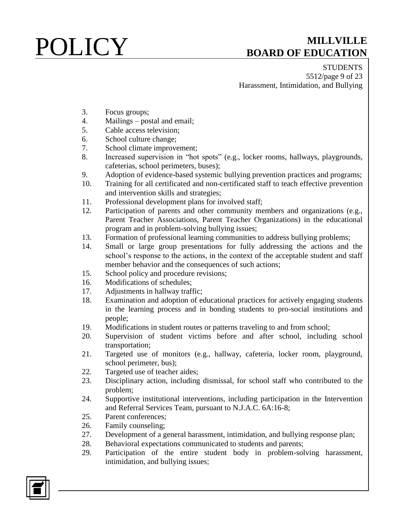**STUDENTS** 5512/page 9 of 23 Harassment, Intimidation, and Bullying

- 3. Focus groups;
- 4. Mailings postal and email;
- 5. Cable access television;
- 6. School culture change;
- 7. School climate improvement;
- 8. Increased supervision in "hot spots" (e.g., locker rooms, hallways, playgrounds, cafeterias, school perimeters, buses);
- 9. Adoption of evidence-based systemic bullying prevention practices and programs;
- 10. Training for all certificated and non-certificated staff to teach effective prevention and intervention skills and strategies;
- 11. Professional development plans for involved staff;
- 12. Participation of parents and other community members and organizations (e.g., Parent Teacher Associations, Parent Teacher Organizations) in the educational program and in problem-solving bullying issues;
- 13. Formation of professional learning communities to address bullying problems;
- 14. Small or large group presentations for fully addressing the actions and the school's response to the actions, in the context of the acceptable student and staff member behavior and the consequences of such actions;
- 15. School policy and procedure revisions;
- 16. Modifications of schedules;
- 17. Adjustments in hallway traffic;
- 18. Examination and adoption of educational practices for actively engaging students in the learning process and in bonding students to pro-social institutions and people;
- 19. Modifications in student routes or patterns traveling to and from school;
- 20. Supervision of student victims before and after school, including school transportation;
- 21. Targeted use of monitors (e.g., hallway, cafeteria, locker room, playground, school perimeter, bus);
- 22. Targeted use of teacher aides;
- 23. Disciplinary action, including dismissal, for school staff who contributed to the problem;
- 24. Supportive institutional interventions, including participation in the Intervention and Referral Services Team, pursuant to N.J.A.C. 6A:16-8;
- 25. Parent conferences;
- 26. Family counseling;
- 27. Development of a general harassment, intimidation, and bullying response plan;
- 28. Behavioral expectations communicated to students and parents;
- 29. Participation of the entire student body in problem-solving harassment, intimidation, and bullying issues;

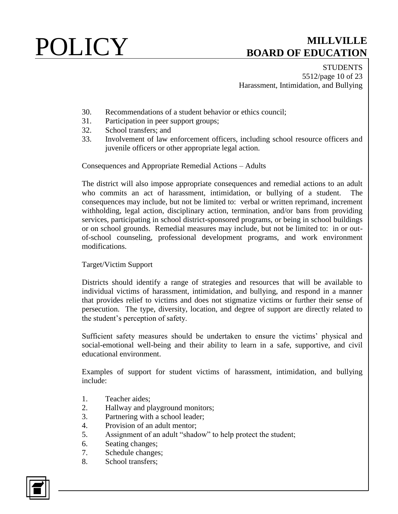**STUDENTS** 5512/page 10 of 23 Harassment, Intimidation, and Bullying

- 30. Recommendations of a student behavior or ethics council;
- 31. Participation in peer support groups;
- 32. School transfers; and
- 33. Involvement of law enforcement officers, including school resource officers and juvenile officers or other appropriate legal action.

Consequences and Appropriate Remedial Actions – Adults

The district will also impose appropriate consequences and remedial actions to an adult who commits an act of harassment, intimidation, or bullying of a student. The consequences may include, but not be limited to: verbal or written reprimand, increment withholding, legal action, disciplinary action, termination, and/or bans from providing services, participating in school district-sponsored programs, or being in school buildings or on school grounds. Remedial measures may include, but not be limited to: in or outof-school counseling, professional development programs, and work environment modifications.

### Target/Victim Support

Districts should identify a range of strategies and resources that will be available to individual victims of harassment, intimidation, and bullying, and respond in a manner that provides relief to victims and does not stigmatize victims or further their sense of persecution. The type, diversity, location, and degree of support are directly related to the student's perception of safety.

Sufficient safety measures should be undertaken to ensure the victims' physical and social-emotional well-being and their ability to learn in a safe, supportive, and civil educational environment.

Examples of support for student victims of harassment, intimidation, and bullying include:

- 1. Teacher aides;
- 2. Hallway and playground monitors;
- 3. Partnering with a school leader;
- 4. Provision of an adult mentor;
- 5. Assignment of an adult "shadow" to help protect the student;
- 6. Seating changes;
- 7. Schedule changes;
- 8. School transfers;

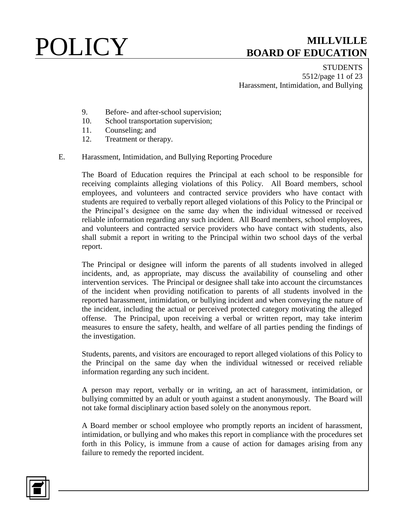**STUDENTS** 5512/page 11 of 23 Harassment, Intimidation, and Bullying

- 9. Before- and after-school supervision;
- 10. School transportation supervision;
- 11. Counseling; and
- 12. Treatment or therapy.

### E. Harassment, Intimidation, and Bullying Reporting Procedure

The Board of Education requires the Principal at each school to be responsible for receiving complaints alleging violations of this Policy. All Board members, school employees, and volunteers and contracted service providers who have contact with students are required to verbally report alleged violations of this Policy to the Principal or the Principal's designee on the same day when the individual witnessed or received reliable information regarding any such incident. All Board members, school employees, and volunteers and contracted service providers who have contact with students, also shall submit a report in writing to the Principal within two school days of the verbal report.

The Principal or designee will inform the parents of all students involved in alleged incidents, and, as appropriate, may discuss the availability of counseling and other intervention services. The Principal or designee shall take into account the circumstances of the incident when providing notification to parents of all students involved in the reported harassment, intimidation, or bullying incident and when conveying the nature of the incident, including the actual or perceived protected category motivating the alleged offense. The Principal, upon receiving a verbal or written report, may take interim measures to ensure the safety, health, and welfare of all parties pending the findings of the investigation.

Students, parents, and visitors are encouraged to report alleged violations of this Policy to the Principal on the same day when the individual witnessed or received reliable information regarding any such incident.

A person may report, verbally or in writing, an act of harassment, intimidation, or bullying committed by an adult or youth against a student anonymously. The Board will not take formal disciplinary action based solely on the anonymous report.

A Board member or school employee who promptly reports an incident of harassment, intimidation, or bullying and who makes this report in compliance with the procedures set forth in this Policy, is immune from a cause of action for damages arising from any failure to remedy the reported incident.

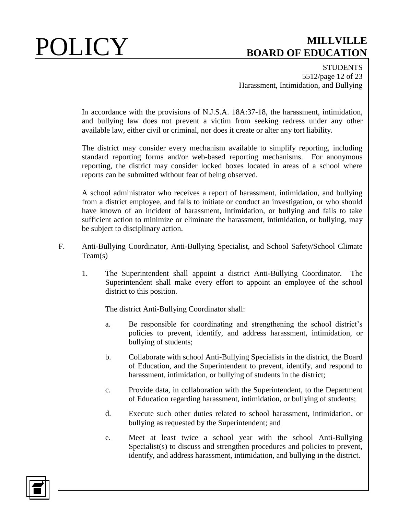**STUDENTS** 5512/page 12 of 23 Harassment, Intimidation, and Bullying

In accordance with the provisions of N.J.S.A. 18A:37-18, the harassment, intimidation, and bullying law does not prevent a victim from seeking redress under any other available law, either civil or criminal, nor does it create or alter any tort liability.

The district may consider every mechanism available to simplify reporting, including standard reporting forms and/or web-based reporting mechanisms. For anonymous reporting, the district may consider locked boxes located in areas of a school where reports can be submitted without fear of being observed.

A school administrator who receives a report of harassment, intimidation, and bullying from a district employee, and fails to initiate or conduct an investigation, or who should have known of an incident of harassment, intimidation, or bullying and fails to take sufficient action to minimize or eliminate the harassment, intimidation, or bullying, may be subject to disciplinary action.

- F. Anti-Bullying Coordinator, Anti-Bullying Specialist, and School Safety/School Climate Team(s)
	- 1. The Superintendent shall appoint a district Anti-Bullying Coordinator. The Superintendent shall make every effort to appoint an employee of the school district to this position.

The district Anti-Bullying Coordinator shall:

- a. Be responsible for coordinating and strengthening the school district's policies to prevent, identify, and address harassment, intimidation, or bullying of students;
- b. Collaborate with school Anti-Bullying Specialists in the district, the Board of Education, and the Superintendent to prevent, identify, and respond to harassment, intimidation, or bullying of students in the district;
- c. Provide data, in collaboration with the Superintendent, to the Department of Education regarding harassment, intimidation, or bullying of students;
- d. Execute such other duties related to school harassment, intimidation, or bullying as requested by the Superintendent; and
- e. Meet at least twice a school year with the school Anti-Bullying Specialist(s) to discuss and strengthen procedures and policies to prevent, identify, and address harassment, intimidation, and bullying in the district.

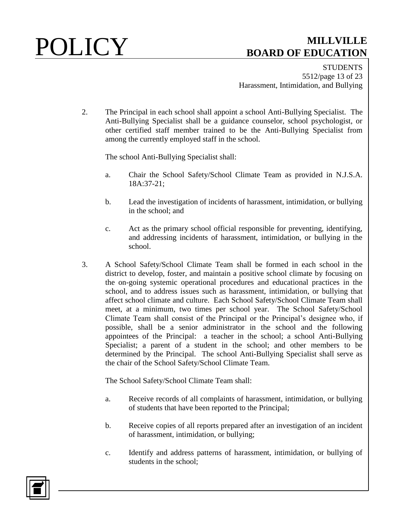**STUDENTS** 5512/page 13 of 23 Harassment, Intimidation, and Bullying

2. The Principal in each school shall appoint a school Anti-Bullying Specialist. The Anti-Bullying Specialist shall be a guidance counselor, school psychologist, or other certified staff member trained to be the Anti-Bullying Specialist from among the currently employed staff in the school.

The school Anti-Bullying Specialist shall:

- a. Chair the School Safety/School Climate Team as provided in N.J.S.A. 18A:37-21;
- b. Lead the investigation of incidents of harassment, intimidation, or bullying in the school; and
- c. Act as the primary school official responsible for preventing, identifying, and addressing incidents of harassment, intimidation, or bullying in the school.
- 3. A School Safety/School Climate Team shall be formed in each school in the district to develop, foster, and maintain a positive school climate by focusing on the on-going systemic operational procedures and educational practices in the school, and to address issues such as harassment, intimidation, or bullying that affect school climate and culture. Each School Safety/School Climate Team shall meet, at a minimum, two times per school year. The School Safety/School Climate Team shall consist of the Principal or the Principal's designee who, if possible, shall be a senior administrator in the school and the following appointees of the Principal: a teacher in the school; a school Anti-Bullying Specialist; a parent of a student in the school; and other members to be determined by the Principal. The school Anti-Bullying Specialist shall serve as the chair of the School Safety/School Climate Team.

The School Safety/School Climate Team shall:

- a. Receive records of all complaints of harassment, intimidation, or bullying of students that have been reported to the Principal;
- b. Receive copies of all reports prepared after an investigation of an incident of harassment, intimidation, or bullying;
- c. Identify and address patterns of harassment, intimidation, or bullying of students in the school;

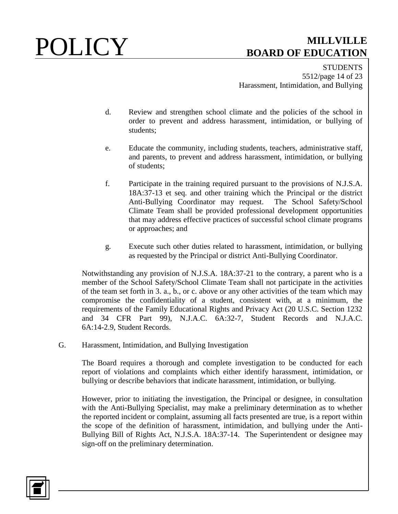**STUDENTS** 5512/page 14 of 23 Harassment, Intimidation, and Bullying

- d. Review and strengthen school climate and the policies of the school in order to prevent and address harassment, intimidation, or bullying of students;
- e. Educate the community, including students, teachers, administrative staff, and parents, to prevent and address harassment, intimidation, or bullying of students;
- f. Participate in the training required pursuant to the provisions of N.J.S.A. 18A:37-13 et seq. and other training which the Principal or the district Anti-Bullying Coordinator may request. The School Safety/School Climate Team shall be provided professional development opportunities that may address effective practices of successful school climate programs or approaches; and
- g. Execute such other duties related to harassment, intimidation, or bullying as requested by the Principal or district Anti-Bullying Coordinator.

Notwithstanding any provision of N.J.S.A. 18A:37-21 to the contrary, a parent who is a member of the School Safety/School Climate Team shall not participate in the activities of the team set forth in 3. a., b., or c. above or any other activities of the team which may compromise the confidentiality of a student, consistent with, at a minimum, the requirements of the Family Educational Rights and Privacy Act (20 U.S.C. Section 1232 and 34 CFR Part 99), N.J.A.C. 6A:32-7, Student Records and N.J.A.C. 6A:14-2.9, Student Records.

G. Harassment, Intimidation, and Bullying Investigation

The Board requires a thorough and complete investigation to be conducted for each report of violations and complaints which either identify harassment, intimidation, or bullying or describe behaviors that indicate harassment, intimidation, or bullying.

However, prior to initiating the investigation, the Principal or designee, in consultation with the Anti-Bullying Specialist, may make a preliminary determination as to whether the reported incident or complaint, assuming all facts presented are true, is a report within the scope of the definition of harassment, intimidation, and bullying under the Anti-Bullying Bill of Rights Act, N.J.S.A. 18A:37-14. The Superintendent or designee may sign-off on the preliminary determination.

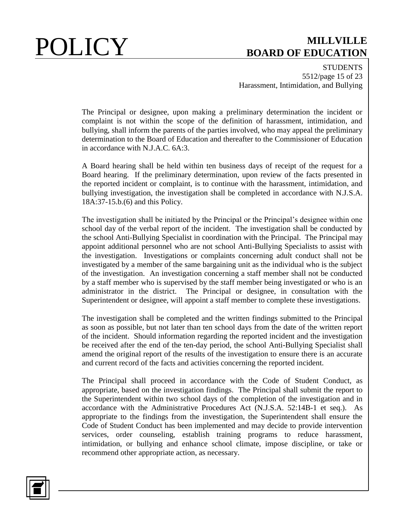**STUDENTS** 5512/page 15 of 23 Harassment, Intimidation, and Bullying

The Principal or designee, upon making a preliminary determination the incident or complaint is not within the scope of the definition of harassment, intimidation, and bullying, shall inform the parents of the parties involved, who may appeal the preliminary determination to the Board of Education and thereafter to the Commissioner of Education in accordance with N.J.A.C. 6A:3.

A Board hearing shall be held within ten business days of receipt of the request for a Board hearing. If the preliminary determination, upon review of the facts presented in the reported incident or complaint, is to continue with the harassment, intimidation, and bullying investigation, the investigation shall be completed in accordance with N.J.S.A. 18A:37-15.b.(6) and this Policy.

The investigation shall be initiated by the Principal or the Principal's designee within one school day of the verbal report of the incident. The investigation shall be conducted by the school Anti-Bullying Specialist in coordination with the Principal. The Principal may appoint additional personnel who are not school Anti-Bullying Specialists to assist with the investigation. Investigations or complaints concerning adult conduct shall not be investigated by a member of the same bargaining unit as the individual who is the subject of the investigation. An investigation concerning a staff member shall not be conducted by a staff member who is supervised by the staff member being investigated or who is an administrator in the district. The Principal or designee, in consultation with the Superintendent or designee, will appoint a staff member to complete these investigations.

The investigation shall be completed and the written findings submitted to the Principal as soon as possible, but not later than ten school days from the date of the written report of the incident. Should information regarding the reported incident and the investigation be received after the end of the ten-day period, the school Anti-Bullying Specialist shall amend the original report of the results of the investigation to ensure there is an accurate and current record of the facts and activities concerning the reported incident.

The Principal shall proceed in accordance with the Code of Student Conduct, as appropriate, based on the investigation findings. The Principal shall submit the report to the Superintendent within two school days of the completion of the investigation and in accordance with the Administrative Procedures Act (N.J.S.A. 52:14B-1 et seq.). As appropriate to the findings from the investigation, the Superintendent shall ensure the Code of Student Conduct has been implemented and may decide to provide intervention services, order counseling, establish training programs to reduce harassment, intimidation, or bullying and enhance school climate, impose discipline, or take or recommend other appropriate action, as necessary.

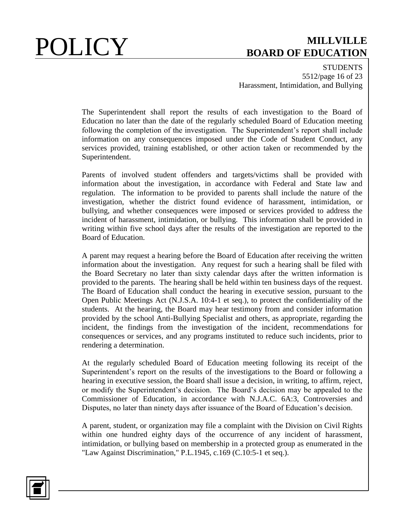**STUDENTS** 5512/page 16 of 23 Harassment, Intimidation, and Bullying

The Superintendent shall report the results of each investigation to the Board of Education no later than the date of the regularly scheduled Board of Education meeting following the completion of the investigation. The Superintendent's report shall include information on any consequences imposed under the Code of Student Conduct, any services provided, training established, or other action taken or recommended by the Superintendent.

Parents of involved student offenders and targets/victims shall be provided with information about the investigation, in accordance with Federal and State law and regulation. The information to be provided to parents shall include the nature of the investigation, whether the district found evidence of harassment, intimidation, or bullying, and whether consequences were imposed or services provided to address the incident of harassment, intimidation, or bullying. This information shall be provided in writing within five school days after the results of the investigation are reported to the Board of Education.

A parent may request a hearing before the Board of Education after receiving the written information about the investigation. Any request for such a hearing shall be filed with the Board Secretary no later than sixty calendar days after the written information is provided to the parents. The hearing shall be held within ten business days of the request. The Board of Education shall conduct the hearing in executive session, pursuant to the Open Public Meetings Act (N.J.S.A. 10:4-1 et seq.), to protect the confidentiality of the students. At the hearing, the Board may hear testimony from and consider information provided by the school Anti-Bullying Specialist and others, as appropriate, regarding the incident, the findings from the investigation of the incident, recommendations for consequences or services, and any programs instituted to reduce such incidents, prior to rendering a determination.

At the regularly scheduled Board of Education meeting following its receipt of the Superintendent's report on the results of the investigations to the Board or following a hearing in executive session, the Board shall issue a decision, in writing, to affirm, reject, or modify the Superintendent's decision. The Board's decision may be appealed to the Commissioner of Education, in accordance with N.J.A.C. 6A:3, Controversies and Disputes, no later than ninety days after issuance of the Board of Education's decision.

A parent, student, or organization may file a complaint with the Division on Civil Rights within one hundred eighty days of the occurrence of any incident of harassment, intimidation, or bullying based on membership in a protected group as enumerated in the "Law Against Discrimination," P.L.1945, c.169 (C.10:5-1 et seq.).

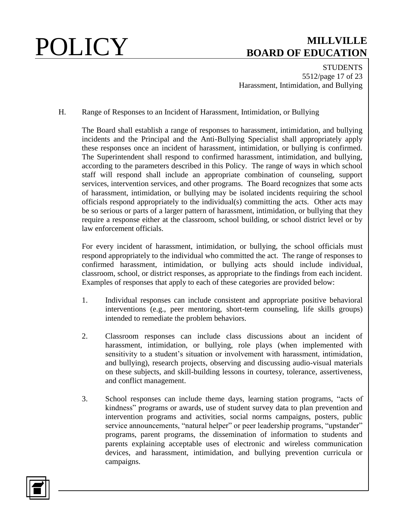**STUDENTS** 5512/page 17 of 23 Harassment, Intimidation, and Bullying

H. Range of Responses to an Incident of Harassment, Intimidation, or Bullying

The Board shall establish a range of responses to harassment, intimidation, and bullying incidents and the Principal and the Anti-Bullying Specialist shall appropriately apply these responses once an incident of harassment, intimidation, or bullying is confirmed. The Superintendent shall respond to confirmed harassment, intimidation, and bullying, according to the parameters described in this Policy. The range of ways in which school staff will respond shall include an appropriate combination of counseling, support services, intervention services, and other programs. The Board recognizes that some acts of harassment, intimidation, or bullying may be isolated incidents requiring the school officials respond appropriately to the individual(s) committing the acts. Other acts may be so serious or parts of a larger pattern of harassment, intimidation, or bullying that they require a response either at the classroom, school building, or school district level or by law enforcement officials.

For every incident of harassment, intimidation, or bullying, the school officials must respond appropriately to the individual who committed the act. The range of responses to confirmed harassment, intimidation, or bullying acts should include individual, classroom, school, or district responses, as appropriate to the findings from each incident. Examples of responses that apply to each of these categories are provided below:

- 1. Individual responses can include consistent and appropriate positive behavioral interventions (e.g., peer mentoring, short-term counseling, life skills groups) intended to remediate the problem behaviors.
- 2. Classroom responses can include class discussions about an incident of harassment, intimidation, or bullying, role plays (when implemented with sensitivity to a student's situation or involvement with harassment, intimidation, and bullying), research projects, observing and discussing audio-visual materials on these subjects, and skill-building lessons in courtesy, tolerance, assertiveness, and conflict management.
- 3. School responses can include theme days, learning station programs, "acts of kindness" programs or awards, use of student survey data to plan prevention and intervention programs and activities, social norms campaigns, posters, public service announcements, "natural helper" or peer leadership programs, "upstander" programs, parent programs, the dissemination of information to students and parents explaining acceptable uses of electronic and wireless communication devices, and harassment, intimidation, and bullying prevention curricula or campaigns.

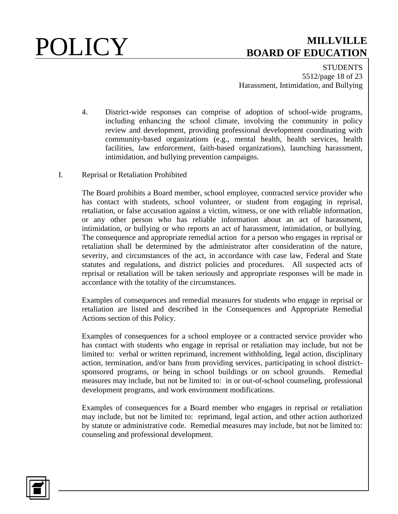**STUDENTS** 5512/page 18 of 23 Harassment, Intimidation, and Bullying

- 4. District-wide responses can comprise of adoption of school-wide programs, including enhancing the school climate, involving the community in policy review and development, providing professional development coordinating with community-based organizations (e.g., mental health, health services, health facilities, law enforcement, faith-based organizations), launching harassment, intimidation, and bullying prevention campaigns.
- I. Reprisal or Retaliation Prohibited

The Board prohibits a Board member, school employee, contracted service provider who has contact with students, school volunteer, or student from engaging in reprisal, retaliation, or false accusation against a victim, witness, or one with reliable information, or any other person who has reliable information about an act of harassment, intimidation, or bullying or who reports an act of harassment, intimidation, or bullying. The consequence and appropriate remedial action for a person who engages in reprisal or retaliation shall be determined by the administrator after consideration of the nature, severity, and circumstances of the act, in accordance with case law, Federal and State statutes and regulations, and district policies and procedures. All suspected acts of reprisal or retaliation will be taken seriously and appropriate responses will be made in accordance with the totality of the circumstances.

Examples of consequences and remedial measures for students who engage in reprisal or retaliation are listed and described in the Consequences and Appropriate Remedial Actions section of this Policy.

Examples of consequences for a school employee or a contracted service provider who has contact with students who engage in reprisal or retaliation may include, but not be limited to: verbal or written reprimand, increment withholding, legal action, disciplinary action, termination, and/or bans from providing services, participating in school districtsponsored programs, or being in school buildings or on school grounds. Remedial measures may include, but not be limited to: in or out-of-school counseling, professional development programs, and work environment modifications.

Examples of consequences for a Board member who engages in reprisal or retaliation may include, but not be limited to: reprimand, legal action, and other action authorized by statute or administrative code. Remedial measures may include, but not be limited to: counseling and professional development.

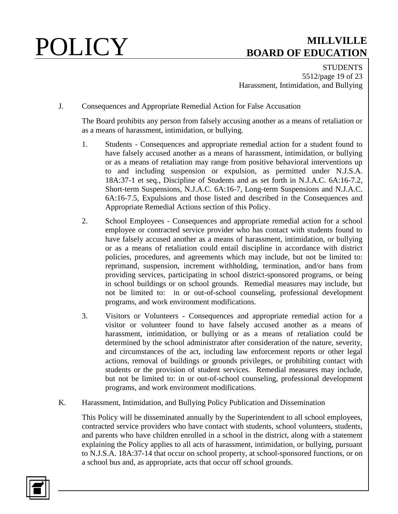**STUDENTS** 5512/page 19 of 23 Harassment, Intimidation, and Bullying

J. Consequences and Appropriate Remedial Action for False Accusation

The Board prohibits any person from falsely accusing another as a means of retaliation or as a means of harassment, intimidation, or bullying.

- 1. Students Consequences and appropriate remedial action for a student found to have falsely accused another as a means of harassment, intimidation, or bullying or as a means of retaliation may range from positive behavioral interventions up to and including suspension or expulsion, as permitted under N.J.S.A. 18A:37-1 et seq., Discipline of Students and as set forth in N.J.A.C. 6A:16-7.2, Short-term Suspensions, N.J.A.C. 6A:16-7, Long-term Suspensions and N.J.A.C. 6A:16-7.5, Expulsions and those listed and described in the Consequences and Appropriate Remedial Actions section of this Policy.
- 2. School Employees Consequences and appropriate remedial action for a school employee or contracted service provider who has contact with students found to have falsely accused another as a means of harassment, intimidation, or bullying or as a means of retaliation could entail discipline in accordance with district policies, procedures, and agreements which may include, but not be limited to: reprimand, suspension, increment withholding, termination, and/or bans from providing services, participating in school district-sponsored programs, or being in school buildings or on school grounds. Remedial measures may include, but not be limited to: in or out-of-school counseling, professional development programs, and work environment modifications.
- 3. Visitors or Volunteers Consequences and appropriate remedial action for a visitor or volunteer found to have falsely accused another as a means of harassment, intimidation, or bullying or as a means of retaliation could be determined by the school administrator after consideration of the nature, severity, and circumstances of the act, including law enforcement reports or other legal actions, removal of buildings or grounds privileges, or prohibiting contact with students or the provision of student services. Remedial measures may include, but not be limited to: in or out-of-school counseling, professional development programs, and work environment modifications.
- K. Harassment, Intimidation, and Bullying Policy Publication and Dissemination

This Policy will be disseminated annually by the Superintendent to all school employees, contracted service providers who have contact with students, school volunteers, students, and parents who have children enrolled in a school in the district, along with a statement explaining the Policy applies to all acts of harassment, intimidation, or bullying, pursuant to N.J.S.A. 18A:37-14 that occur on school property, at school-sponsored functions, or on a school bus and, as appropriate, acts that occur off school grounds.

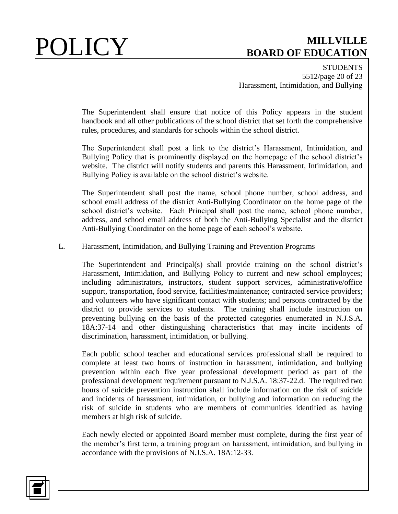**STUDENTS** 5512/page 20 of 23 Harassment, Intimidation, and Bullying

The Superintendent shall ensure that notice of this Policy appears in the student handbook and all other publications of the school district that set forth the comprehensive rules, procedures, and standards for schools within the school district.

The Superintendent shall post a link to the district's Harassment, Intimidation, and Bullying Policy that is prominently displayed on the homepage of the school district's website. The district will notify students and parents this Harassment, Intimidation, and Bullying Policy is available on the school district's website.

The Superintendent shall post the name, school phone number, school address, and school email address of the district Anti-Bullying Coordinator on the home page of the school district's website. Each Principal shall post the name, school phone number, address, and school email address of both the Anti-Bullying Specialist and the district Anti-Bullying Coordinator on the home page of each school's website.

### L. Harassment, Intimidation, and Bullying Training and Prevention Programs

The Superintendent and Principal(s) shall provide training on the school district's Harassment, Intimidation, and Bullying Policy to current and new school employees; including administrators, instructors, student support services, administrative/office support, transportation, food service, facilities/maintenance; contracted service providers; and volunteers who have significant contact with students; and persons contracted by the district to provide services to students. The training shall include instruction on preventing bullying on the basis of the protected categories enumerated in N.J.S.A. 18A:37-14 and other distinguishing characteristics that may incite incidents of discrimination, harassment, intimidation, or bullying.

Each public school teacher and educational services professional shall be required to complete at least two hours of instruction in harassment, intimidation, and bullying prevention within each five year professional development period as part of the professional development requirement pursuant to N.J.S.A. 18:37-22.d. The required two hours of suicide prevention instruction shall include information on the risk of suicide and incidents of harassment, intimidation, or bullying and information on reducing the risk of suicide in students who are members of communities identified as having members at high risk of suicide.

Each newly elected or appointed Board member must complete, during the first year of the member's first term, a training program on harassment, intimidation, and bullying in accordance with the provisions of N.J.S.A. 18A:12-33.

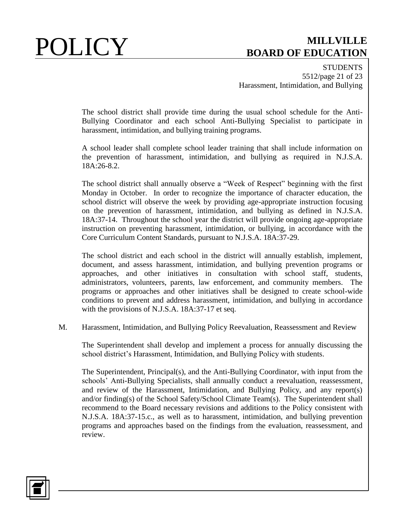**STUDENTS** 5512/page 21 of 23 Harassment, Intimidation, and Bullying

The school district shall provide time during the usual school schedule for the Anti-Bullying Coordinator and each school Anti-Bullying Specialist to participate in harassment, intimidation, and bullying training programs.

A school leader shall complete school leader training that shall include information on the prevention of harassment, intimidation, and bullying as required in N.J.S.A. 18A:26-8.2.

The school district shall annually observe a "Week of Respect" beginning with the first Monday in October. In order to recognize the importance of character education, the school district will observe the week by providing age-appropriate instruction focusing on the prevention of harassment, intimidation, and bullying as defined in N.J.S.A. 18A:37-14. Throughout the school year the district will provide ongoing age-appropriate instruction on preventing harassment, intimidation, or bullying, in accordance with the Core Curriculum Content Standards, pursuant to N.J.S.A. 18A:37-29.

The school district and each school in the district will annually establish, implement, document, and assess harassment, intimidation, and bullying prevention programs or approaches, and other initiatives in consultation with school staff, students, administrators, volunteers, parents, law enforcement, and community members. The programs or approaches and other initiatives shall be designed to create school-wide conditions to prevent and address harassment, intimidation, and bullying in accordance with the provisions of N.J.S.A. 18A:37-17 et seq.

M. Harassment, Intimidation, and Bullying Policy Reevaluation, Reassessment and Review

The Superintendent shall develop and implement a process for annually discussing the school district's Harassment, Intimidation, and Bullying Policy with students.

The Superintendent, Principal(s), and the Anti-Bullying Coordinator, with input from the schools' Anti-Bullying Specialists, shall annually conduct a reevaluation, reassessment, and review of the Harassment, Intimidation, and Bullying Policy, and any report(s) and/or finding(s) of the School Safety/School Climate Team(s). The Superintendent shall recommend to the Board necessary revisions and additions to the Policy consistent with N.J.S.A. 18A:37-15.c., as well as to harassment, intimidation, and bullying prevention programs and approaches based on the findings from the evaluation, reassessment, and review.

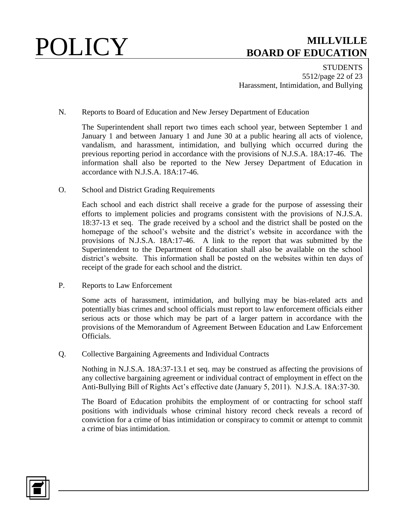**STUDENTS** 5512/page 22 of 23 Harassment, Intimidation, and Bullying

N. Reports to Board of Education and New Jersey Department of Education

The Superintendent shall report two times each school year, between September 1 and January 1 and between January 1 and June 30 at a public hearing all acts of violence, vandalism, and harassment, intimidation, and bullying which occurred during the previous reporting period in accordance with the provisions of N.J.S.A. 18A:17-46. The information shall also be reported to the New Jersey Department of Education in accordance with N.J.S.A. 18A:17-46.

O. School and District Grading Requirements

Each school and each district shall receive a grade for the purpose of assessing their efforts to implement policies and programs consistent with the provisions of N.J.S.A. 18:37-13 et seq. The grade received by a school and the district shall be posted on the homepage of the school's website and the district's website in accordance with the provisions of N.J.S.A. 18A:17-46. A link to the report that was submitted by the Superintendent to the Department of Education shall also be available on the school district's website. This information shall be posted on the websites within ten days of receipt of the grade for each school and the district.

P. Reports to Law Enforcement

Some acts of harassment, intimidation, and bullying may be bias-related acts and potentially bias crimes and school officials must report to law enforcement officials either serious acts or those which may be part of a larger pattern in accordance with the provisions of the Memorandum of Agreement Between Education and Law Enforcement Officials.

Q. Collective Bargaining Agreements and Individual Contracts

Nothing in N.J.S.A. 18A:37-13.1 et seq. may be construed as affecting the provisions of any collective bargaining agreement or individual contract of employment in effect on the Anti-Bullying Bill of Rights Act's effective date (January 5, 2011). N.J.S.A. 18A:37-30.

The Board of Education prohibits the employment of or contracting for school staff positions with individuals whose criminal history record check reveals a record of conviction for a crime of bias intimidation or conspiracy to commit or attempt to commit a crime of bias intimidation.